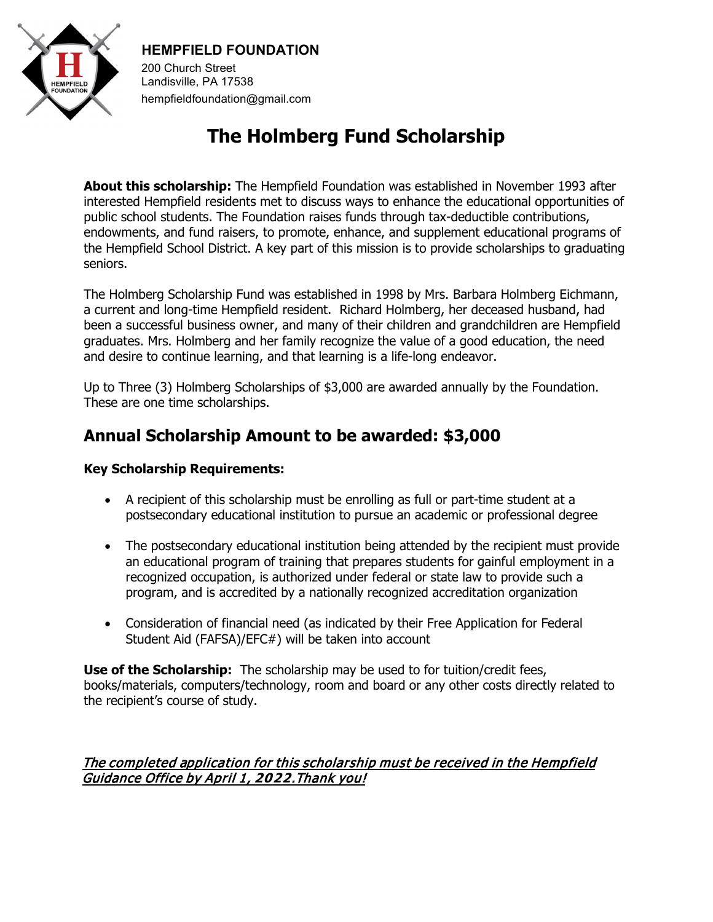

#### **HEMPFIELD FOUNDATION**

200 Church Street Landisville, PA 17538 hempfieldfoundation@gmail.com

# **The Holmberg Fund Scholarship**

**About this scholarship:** The Hempfield Foundation was established in November 1993 after interested Hempfield residents met to discuss ways to enhance the educational opportunities of public school students. The Foundation raises funds through tax-deductible contributions, endowments, and fund raisers, to promote, enhance, and supplement educational programs of the Hempfield School District. A key part of this mission is to provide scholarships to graduating seniors.

The Holmberg Scholarship Fund was established in 1998 by Mrs. Barbara Holmberg Eichmann, a current and long-time Hempfield resident. Richard Holmberg, her deceased husband, had been a successful business owner, and many of their children and grandchildren are Hempfield graduates. Mrs. Holmberg and her family recognize the value of a good education, the need and desire to continue learning, and that learning is a life-long endeavor.

Up to Three (3) Holmberg Scholarships of \$3,000 are awarded annually by the Foundation. These are one time scholarships.

# **Annual Scholarship Amount to be awarded: \$3,000**

#### **Key Scholarship Requirements:**

- A recipient of this scholarship must be enrolling as full or part-time student at a postsecondary educational institution to pursue an academic or professional degree
- The postsecondary educational institution being attended by the recipient must provide an educational program of training that prepares students for gainful employment in a recognized occupation, is authorized under federal or state law to provide such a program, and is accredited by a nationally recognized accreditation organization
- Consideration of financial need (as indicated by their Free Application for Federal Student Aid (FAFSA)/EFC#) will be taken into account

**Use of the Scholarship:** The scholarship may be used to for tuition/credit fees, books/materials, computers/technology, room and board or any other costs directly related to the recipient's course of study.

#### The completed application for this scholarship must be received in the Hempfield Guidance Office by April 1, **2022**.Thank you!